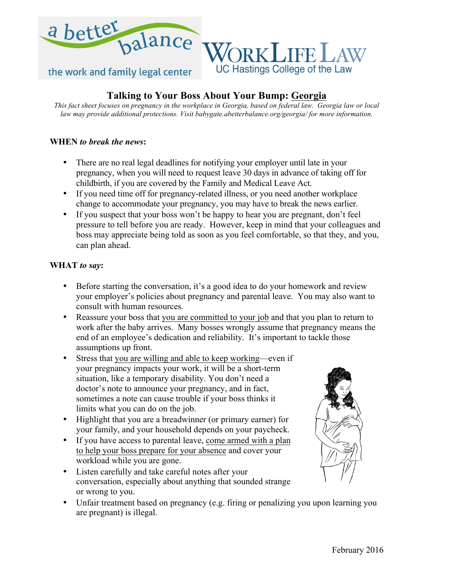

# **Talking to Your Boss About Your Bump: Georgia**

*This fact sheet focuses on pregnancy in the workplace in Georgia, based on federal law. Georgia law or local law may provide additional protections. Visit babygate.abetterbalance.org/georgia/ for more information.*

### **WHEN** *to break the news***:**

- There are no real legal deadlines for notifying your employer until late in your pregnancy, when you will need to request leave 30 days in advance of taking off for childbirth, if you are covered by the Family and Medical Leave Act.
- If you need time off for pregnancy-related illness, or you need another workplace change to accommodate your pregnancy, you may have to break the news earlier.
- If you suspect that your boss won't be happy to hear you are pregnant, don't feel pressure to tell before you are ready. However, keep in mind that your colleagues and boss may appreciate being told as soon as you feel comfortable, so that they, and you, can plan ahead.

#### **WHAT** *to say***:**

- Before starting the conversation, it's a good idea to do your homework and review your employer's policies about pregnancy and parental leave. You may also want to consult with human resources.
- Reassure your boss that you are committed to your job and that you plan to return to work after the baby arrives. Many bosses wrongly assume that pregnancy means the end of an employee's dedication and reliability. It's important to tackle those assumptions up front.
- Stress that you are willing and able to keep working—even if your pregnancy impacts your work, it will be a short-term situation, like a temporary disability. You don't need a doctor's note to announce your pregnancy, and in fact, sometimes a note can cause trouble if your boss thinks it limits what you can do on the job.
- Highlight that you are a breadwinner (or primary earner) for your family, and your household depends on your paycheck.
- If you have access to parental leave, come armed with a plan to help your boss prepare for your absence and cover your workload while you are gone.
- Listen carefully and take careful notes after your conversation, especially about anything that sounded strange or wrong to you.
- Unfair treatment based on pregnancy (e.g. firing or penalizing you upon learning you are pregnant) is illegal.

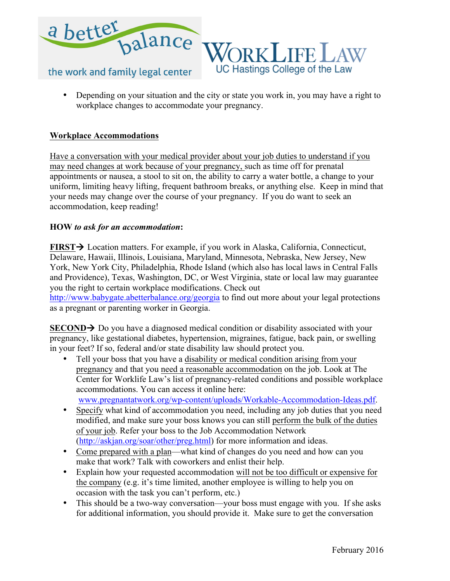

• Depending on your situation and the city or state you work in, you may have a right to workplace changes to accommodate your pregnancy.

## **Workplace Accommodations**

Have a conversation with your medical provider about your job duties to understand if you may need changes at work because of your pregnancy, such as time off for prenatal appointments or nausea, a stool to sit on, the ability to carry a water bottle, a change to your uniform, limiting heavy lifting, frequent bathroom breaks, or anything else. Keep in mind that your needs may change over the course of your pregnancy. If you do want to seek an accommodation, keep reading!

#### **HOW** *to ask for an accommodation***:**

**FIRST** $\rightarrow$  Location matters. For example, if you work in Alaska, California, Connecticut, Delaware, Hawaii, Illinois, Louisiana, Maryland, Minnesota, Nebraska, New Jersey, New York, New York City, Philadelphia, Rhode Island (which also has local laws in Central Falls and Providence), Texas, Washington, DC, or West Virginia, state or local law may guarantee you the right to certain workplace modifications. Check out

http://www.babygate.abetterbalance.org/georgia to find out more about your legal protections as a pregnant or parenting worker in Georgia.

**SECOND** $\rightarrow$  Do you have a diagnosed medical condition or disability associated with your pregnancy, like gestational diabetes, hypertension, migraines, fatigue, back pain, or swelling in your feet? If so, federal and/or state disability law should protect you.

- Tell your boss that you have a disability or medical condition arising from your pregnancy and that you need a reasonable accommodation on the job. Look at The Center for Worklife Law's list of pregnancy-related conditions and possible workplace accommodations. You can access it online here: www.pregnantatwork.org/wp-content/uploads/Workable-Accommodation-Ideas.pdf.
- Specify what kind of accommodation you need, including any job duties that you need modified, and make sure your boss knows you can still perform the bulk of the duties of your job. Refer your boss to the Job Accommodation Network (http://askjan.org/soar/other/preg.html) for more information and ideas.
- Come prepared with a plan—what kind of changes do you need and how can you make that work? Talk with coworkers and enlist their help.
- Explain how your requested accommodation will not be too difficult or expensive for the company (e.g. it's time limited, another employee is willing to help you on occasion with the task you can't perform, etc.)
- This should be a two-way conversation—your boss must engage with you. If she asks for additional information, you should provide it. Make sure to get the conversation